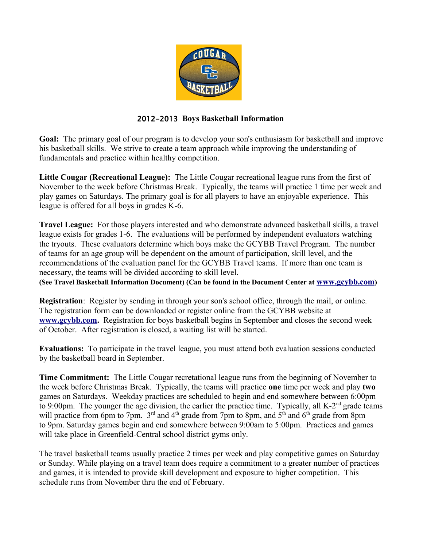

## 2012-2013 **Boys Basketball Information**

**Goal:** The primary goal of our program is to develop your son's enthusiasm for basketball and improve his basketball skills. We strive to create a team approach while improving the understanding of fundamentals and practice within healthy competition.

**Little Cougar (Recreational League):** The Little Cougar recreational league runs from the first of November to the week before Christmas Break. Typically, the teams will practice 1 time per week and play games on Saturdays. The primary goal is for all players to have an enjoyable experience. This league is offered for all boys in grades K-6.

**Travel League:** For those players interested and who demonstrate advanced basketball skills, a travel league exists for grades 1-6. The evaluations will be performed by independent evaluators watching the tryouts. These evaluators determine which boys make the GCYBB Travel Program. The number of teams for an age group will be dependent on the amount of participation, skill level, and the recommendations of the evaluation panel for the GCYBB Travel teams. If more than one team is necessary, the teams will be divided according to skill level.

**(See Travel Basketball Information Document) (Can be found in the Document Center at [www.gcybb.com](http://www.gcybb.com/))**

**Registration**: Register by sending in through your son's school office, through the mail, or online. The registration form can be downloaded or register online from the GCYBB website at **[www.gcybb.com.](http://www.gcybb.com/)** Registration for boys basketball begins in September and closes the second week of October. After registration is closed, a waiting list will be started.

**Evaluations:** To participate in the travel league, you must attend both evaluation sessions conducted by the basketball board in September.

**Time Commitment:** The Little Cougar recretational league runs from the beginning of November to the week before Christmas Break. Typically, the teams will practice **one** time per week and play **two** games on Saturdays. Weekday practices are scheduled to begin and end somewhere between 6:00pm to 9:00pm. The younger the age division, the earlier the practice time. Typically, all K-2<sup>nd</sup> grade teams will practice from 6pm to 7pm.  $3<sup>rd</sup>$  and 4<sup>th</sup> grade from 7pm to 8pm, and  $5<sup>th</sup>$  and 6<sup>th</sup> grade from 8pm to 9pm. Saturday games begin and end somewhere between 9:00am to 5:00pm. Practices and games will take place in Greenfield-Central school district gyms only.

The travel basketball teams usually practice 2 times per week and play competitive games on Saturday or Sunday. While playing on a travel team does require a commitment to a greater number of practices and games, it is intended to provide skill development and exposure to higher competition. This schedule runs from November thru the end of February.